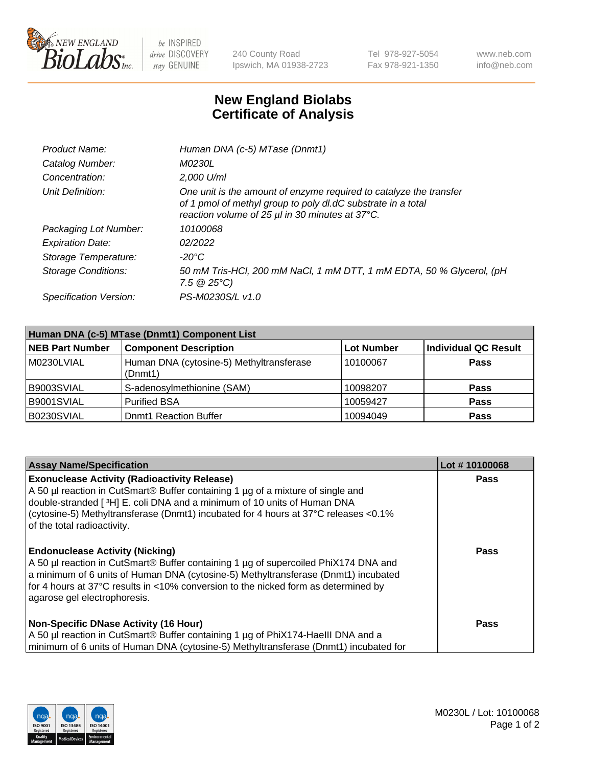

 $be$  INSPIRED drive DISCOVERY stay GENUINE

240 County Road Ipswich, MA 01938-2723 Tel 978-927-5054 Fax 978-921-1350 www.neb.com info@neb.com

## **New England Biolabs Certificate of Analysis**

| Product Name:              | Human DNA (c-5) MTase (Dnmt1)                                                                                                                                                         |
|----------------------------|---------------------------------------------------------------------------------------------------------------------------------------------------------------------------------------|
| Catalog Number:            | <i>M0230L</i>                                                                                                                                                                         |
| Concentration:             | $2.000$ U/ml                                                                                                                                                                          |
| Unit Definition:           | One unit is the amount of enzyme required to catalyze the transfer<br>of 1 pmol of methyl group to poly dl.dC substrate in a total<br>reaction volume of 25 µl in 30 minutes at 37°C. |
| Packaging Lot Number:      | 10100068                                                                                                                                                                              |
| <b>Expiration Date:</b>    | 02/2022                                                                                                                                                                               |
| Storage Temperature:       | $-20^{\circ}$ C                                                                                                                                                                       |
| <b>Storage Conditions:</b> | 50 mM Tris-HCl, 200 mM NaCl, 1 mM DTT, 1 mM EDTA, 50 % Glycerol, (pH<br>7.5 $@25°C$ )                                                                                                 |
| Specification Version:     | PS-M0230S/L v1.0                                                                                                                                                                      |

| Human DNA (c-5) MTase (Dnmt1) Component List |                                                     |                   |                      |  |  |
|----------------------------------------------|-----------------------------------------------------|-------------------|----------------------|--|--|
| <b>NEB Part Number</b>                       | <b>Component Description</b>                        | <b>Lot Number</b> | Individual QC Result |  |  |
| M0230LVIAL                                   | Human DNA (cytosine-5) Methyltransferase<br>(Dnmt1) | 10100067          | Pass                 |  |  |
| B9003SVIAL                                   | S-adenosylmethionine (SAM)                          | 10098207          | <b>Pass</b>          |  |  |
| B9001SVIAL                                   | <b>Purified BSA</b>                                 | 10059427          | <b>Pass</b>          |  |  |
| B0230SVIAL                                   | <b>Domt1 Reaction Buffer</b>                        | 10094049          | <b>Pass</b>          |  |  |

| <b>Assay Name/Specification</b>                                                                                                                                                                                                                                                                                                             | Lot #10100068 |
|---------------------------------------------------------------------------------------------------------------------------------------------------------------------------------------------------------------------------------------------------------------------------------------------------------------------------------------------|---------------|
| <b>Exonuclease Activity (Radioactivity Release)</b><br>A 50 µl reaction in CutSmart® Buffer containing 1 µg of a mixture of single and<br>double-stranded [ $3H$ ] E. coli DNA and a minimum of 10 units of Human DNA<br>(cytosine-5) Methyltransferase (Dnmt1) incubated for 4 hours at 37°C releases <0.1%<br>of the total radioactivity. | Pass          |
| <b>Endonuclease Activity (Nicking)</b><br>A 50 µl reaction in CutSmart® Buffer containing 1 µg of supercoiled PhiX174 DNA and<br>a minimum of 6 units of Human DNA (cytosine-5) Methyltransferase (Dnmt1) incubated<br>for 4 hours at 37°C results in <10% conversion to the nicked form as determined by<br>agarose gel electrophoresis.   | <b>Pass</b>   |
| <b>Non-Specific DNase Activity (16 Hour)</b><br>A 50 µl reaction in CutSmart® Buffer containing 1 µg of PhiX174-HaellI DNA and a<br>minimum of 6 units of Human DNA (cytosine-5) Methyltransferase (Dnmt1) incubated for                                                                                                                    | Pass          |